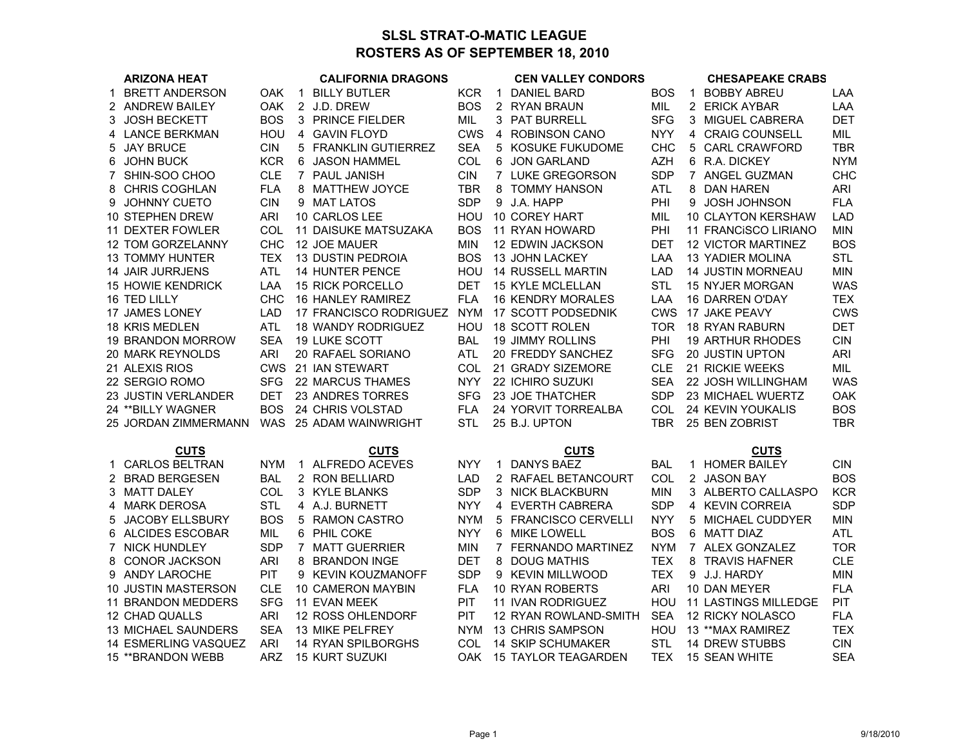## **SLSL STRAT-O-MATIC LEAGUEROSTERS AS OF SEPTEMBER 18, 2010**

|             | <b>ARIZONA HEAT</b>         | <b>CALIFORNIA DRAGONS</b> |              |                           | <b>CEN VALLEY CONDORS</b> |              |                          |            | <b>CHESAPEAKE CRABS</b> |                             |            |
|-------------|-----------------------------|---------------------------|--------------|---------------------------|---------------------------|--------------|--------------------------|------------|-------------------------|-----------------------------|------------|
| $\mathbf 1$ | <b>BRETT ANDERSON</b>       | OAK                       | $\mathbf{1}$ | <b>BILLY BUTLER</b>       | <b>KCR</b>                | $\mathbf{1}$ | <b>DANIEL BARD</b>       | <b>BOS</b> | $\mathbf 1$             | <b>BOBBY ABREU</b>          | LAA        |
|             | 2 ANDREW BAILEY             | <b>OAK</b>                |              | 2 J.D. DREW               | <b>BOS</b>                |              | 2 RYAN BRAUN             | MIL        |                         | 2 ERICK AYBAR               | LAA        |
|             | 3 JOSH BECKETT              | <b>BOS</b>                |              | 3 PRINCE FIELDER          | <b>MIL</b>                |              | 3 PAT BURRELL            | <b>SFG</b> |                         | 3 MIGUEL CABRERA            | <b>DET</b> |
|             | 4 LANCE BERKMAN             | HOU                       |              | 4 GAVIN FLOYD             | <b>CWS</b>                | 4            | <b>ROBINSON CANO</b>     | <b>NYY</b> |                         | 4 CRAIG COUNSELL            | MIL        |
|             | 5 JAY BRUCE                 | <b>CIN</b>                |              | 5 FRANKLIN GUTIERREZ      | <b>SEA</b>                |              | 5 KOSUKE FUKUDOME        | <b>CHC</b> |                         | 5 CARL CRAWFORD             | <b>TBR</b> |
| 6           | <b>JOHN BUCK</b>            | <b>KCR</b>                |              | 6 JASON HAMMEL            | COL                       |              | 6 JON GARLAND            | <b>AZH</b> |                         | 6 R.A. DICKEY               | <b>NYM</b> |
| 7           | SHIN-SOO CHOO               | <b>CLE</b>                |              | 7 PAUL JANISH             | <b>CIN</b>                |              | 7 LUKE GREGORSON         | <b>SDP</b> |                         | 7 ANGEL GUZMAN              | <b>CHC</b> |
| 8           | CHRIS COGHLAN               | <b>FLA</b>                |              | 8 MATTHEW JOYCE           | TBR                       | 8            | <b>TOMMY HANSON</b>      | <b>ATL</b> | 8                       | DAN HAREN                   | ARI        |
|             | 9 JOHNNY CUETO              | <b>CIN</b>                |              | 9 MAT LATOS               | <b>SDP</b>                |              | 9 J.A. HAPP              | PHI        |                         | 9 JOSH JOHNSON              | <b>FLA</b> |
|             | 10 STEPHEN DREW             | <b>ARI</b>                |              | 10 CARLOS LEE             | HOU                       |              | 10 COREY HART            | MIL        |                         | 10 CLAYTON KERSHAW          | LAD        |
|             | 11 DEXTER FOWLER            | COL                       |              | 11 DAISUKE MATSUZAKA      | <b>BOS</b>                |              | 11 RYAN HOWARD           | PHI        |                         | 11 FRANCISCO LIRIANO        | <b>MIN</b> |
|             | 12 TOM GORZELANNY           | CHC                       |              | 12 JOE MAUER              | <b>MIN</b>                |              | 12 EDWIN JACKSON         | <b>DET</b> |                         | <b>12 VICTOR MARTINEZ</b>   | <b>BOS</b> |
|             | <b>13 TOMMY HUNTER</b>      | <b>TEX</b>                |              | 13 DUSTIN PEDROIA         | <b>BOS</b>                |              | 13 JOHN LACKEY           | LAA        |                         | 13 YADIER MOLINA            | <b>STL</b> |
|             | <b>14 JAIR JURRJENS</b>     | <b>ATL</b>                |              | 14 HUNTER PENCE           | HOU                       |              | 14 RUSSELL MARTIN        | <b>LAD</b> |                         | 14 JUSTIN MORNEAU           | <b>MIN</b> |
|             | <b>15 HOWIE KENDRICK</b>    | LAA                       |              | 15 RICK PORCELLO          | <b>DET</b>                |              | 15 KYLE MCLELLAN         | <b>STL</b> |                         | 15 NYJER MORGAN             | <b>WAS</b> |
|             | 16 TED LILLY                | <b>CHC</b>                |              | 16 HANLEY RAMIREZ         | <b>FLA</b>                |              | <b>16 KENDRY MORALES</b> | LAA        |                         | <b>16 DARREN O'DAY</b>      | TEX.       |
|             | 17 JAMES LONEY              | <b>LAD</b>                |              | 17 FRANCISCO RODRIGUEZ    | <b>NYM</b>                |              | 17 SCOTT PODSEDNIK       | <b>CWS</b> |                         | 17 JAKE PEAVY               | <b>CWS</b> |
|             | <b>18 KRIS MEDLEN</b>       | <b>ATL</b>                |              | <b>18 WANDY RODRIGUEZ</b> | HOU                       |              | 18 SCOTT ROLEN           | TOR        |                         | <b>18 RYAN RABURN</b>       | <b>DET</b> |
|             | 19 BRANDON MORROW           | <b>SEA</b>                |              | 19 LUKE SCOTT             | <b>BAL</b>                |              | <b>19 JIMMY ROLLINS</b>  | PHI        |                         | <b>19 ARTHUR RHODES</b>     | <b>CIN</b> |
|             | <b>20 MARK REYNOLDS</b>     | <b>ARI</b>                |              | 20 RAFAEL SORIANO         | ATL                       |              | 20 FREDDY SANCHEZ        | <b>SFG</b> |                         | <b>20 JUSTIN UPTON</b>      | <b>ARI</b> |
|             | 21 ALEXIS RIOS              | <b>CWS</b>                |              | 21 IAN STEWART            | COL                       |              | 21 GRADY SIZEMORE        | <b>CLE</b> |                         | 21 RICKIE WEEKS             | MIL        |
|             | 22 SERGIO ROMO              | <b>SFG</b>                |              | 22 MARCUS THAMES          | <b>NYY</b>                |              | 22 ICHIRO SUZUKI         | <b>SEA</b> |                         | 22 JOSH WILLINGHAM          | <b>WAS</b> |
|             | 23 JUSTIN VERLANDER         | <b>DET</b>                |              | 23 ANDRES TORRES          | <b>SFG</b>                |              | 23 JOE THATCHER          | <b>SDP</b> |                         | 23 MICHAEL WUERTZ           | OAK        |
|             | 24 ** BILLY WAGNER          | <b>BOS</b>                |              | 24 CHRIS VOLSTAD          | <b>FLA</b>                |              | 24 YORVIT TORREALBA      | COL        |                         | 24 KEVIN YOUKALIS           | <b>BOS</b> |
|             | 25 JORDAN ZIMMERMANN        | <b>WAS</b>                |              | 25 ADAM WAINWRIGHT        | <b>STL</b>                |              | 25 B.J. UPTON            | <b>TBR</b> |                         | 25 BEN ZOBRIST              | <b>TBR</b> |
|             | <b>CUTS</b><br><b>CUTS</b>  |                           |              |                           |                           |              | <b>CUTS</b>              |            |                         | <b>CUTS</b>                 |            |
|             | 1 CARLOS BELTRAN            | <b>NYM</b>                |              | 1 ALFREDO ACEVES          | <b>NYY</b>                | 1            | <b>DANYS BAEZ</b>        | <b>BAL</b> |                         | 1 HOMER BAILEY              | <b>CIN</b> |
|             | 2 BRAD BERGESEN             | <b>BAL</b>                |              | 2 RON BELLIARD            | LAD                       |              | 2 RAFAEL BETANCOURT      | COL        |                         | 2 JASON BAY                 | <b>BOS</b> |
|             | 3 MATT DALEY                | COL                       |              | 3 KYLE BLANKS             | <b>SDP</b>                |              | 3 NICK BLACKBURN         | <b>MIN</b> |                         | 3 ALBERTO CALLASPO          | <b>KCR</b> |
|             | 4 MARK DEROSA               | <b>STL</b>                |              | 4 A.J. BURNETT            | <b>NYY</b>                |              | 4 EVERTH CABRERA         | <b>SDP</b> |                         | 4 KEVIN CORREIA             | <b>SDP</b> |
| 5           | <b>JACOBY ELLSBURY</b>      | <b>BOS</b>                |              | 5 RAMON CASTRO            | <b>NYM</b>                |              | 5 FRANCISCO CERVELLI     | <b>NYY</b> |                         | 5 MICHAEL CUDDYER           | <b>MIN</b> |
| 6           | <b>ALCIDES ESCOBAR</b>      | MIL                       |              | 6 PHIL COKE               | <b>NYY</b>                | 6            | MIKE LOWELL              | <b>BOS</b> |                         | 6 MATT DIAZ                 | ATL        |
|             | 7 NICK HUNDLEY              | <b>SDP</b>                |              | 7 MATT GUERRIER           | <b>MIN</b>                |              | 7 FERNANDO MARTINEZ      | <b>NYM</b> |                         | 7 ALEX GONZALEZ             | <b>TOR</b> |
|             | 8 CONOR JACKSON             | <b>ARI</b>                |              | 8 BRANDON INGE            | <b>DET</b>                | 8            | DOUG MATHIS              | TEX.       |                         | 8 TRAVIS HAFNER             | <b>CLE</b> |
|             | 9 ANDY LAROCHE              | PIT                       |              | 9 KEVIN KOUZMANOFF        | <b>SDP</b>                |              | 9 KEVIN MILLWOOD         | <b>TEX</b> |                         | 9 J.J. HARDY                | <b>MIN</b> |
|             | <b>10 JUSTIN MASTERSON</b>  | <b>CLE</b>                |              | 10 CAMERON MAYBIN         | <b>FLA</b>                |              | 10 RYAN ROBERTS          | ARI        |                         | 10 DAN MEYER                | <b>FLA</b> |
|             | 11 BRANDON MEDDERS          | <b>SFG</b>                |              | <b>11 EVAN MEEK</b>       | PIT                       |              | 11 IVAN RODRIGUEZ        | <b>HOU</b> |                         | <b>11 LASTINGS MILLEDGE</b> | <b>PIT</b> |
|             | 12 CHAD QUALLS              | <b>ARI</b>                |              | 12 ROSS OHLENDORF         | PIT                       |              | 12 RYAN ROWLAND-SMITH    | <b>SEA</b> |                         | 12 RICKY NOLASCO            | <b>FLA</b> |
|             | 13 MICHAEL SAUNDERS         | <b>SEA</b>                |              | 13 MIKE PELFREY           | <b>NYM</b>                |              | 13 CHRIS SAMPSON         | HOU        |                         | 13 ** MAX RAMIREZ           | <b>TEX</b> |
|             | <b>14 ESMERLING VASQUEZ</b> | <b>ARI</b>                |              | 14 RYAN SPILBORGHS        | COL                       |              | <b>14 SKIP SCHUMAKER</b> | <b>STL</b> |                         | <b>14 DREW STUBBS</b>       | <b>CIN</b> |
|             | 15 ** BRANDON WEBB          | ARZ                       |              | <b>15 KURT SUZUKI</b>     | OAK.                      |              | 15 TAYLOR TEAGARDEN      | TEX        |                         | 15 SEAN WHITE               | <b>SEA</b> |
|             |                             |                           |              |                           |                           |              |                          |            |                         |                             |            |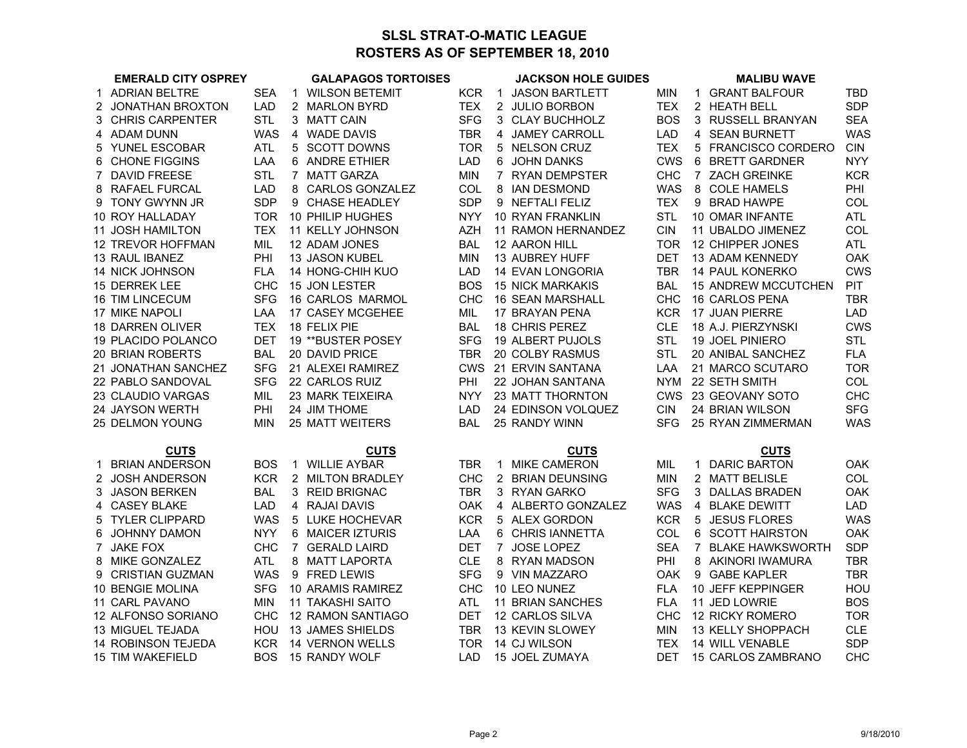## **SLSL STRAT-O-MATIC LEAGUEROSTERS AS OF SEPTEMBER 18, 2010**

|    | <b>EMERALD CITY OSPREY</b> |            |              | <b>GALAPAGOS TORTOISES</b> |            |             | <b>JACKSON HOLE GUIDES</b> |            | <b>MALIBU WAVE</b>         |            |
|----|----------------------------|------------|--------------|----------------------------|------------|-------------|----------------------------|------------|----------------------------|------------|
|    | 1 ADRIAN BELTRE            | <b>SEA</b> | $\mathbf{1}$ | <b>WILSON BETEMIT</b>      | KCR.       | $\mathbf 1$ | <b>JASON BARTLETT</b>      | <b>MIN</b> | 1 GRANT BALFOUR            | TBD        |
|    | 2 JONATHAN BROXTON         | <b>LAD</b> |              | 2 MARLON BYRD              | <b>TEX</b> |             | 2 JULIO BORBON             | <b>TEX</b> | 2 HEATH BELL               | <b>SDP</b> |
|    | 3 CHRIS CARPENTER          | <b>STL</b> |              | 3 MATT CAIN                | <b>SFG</b> |             | 3 CLAY BUCHHOLZ            | <b>BOS</b> | 3 RUSSELL BRANYAN          | <b>SEA</b> |
|    | 4 ADAM DUNN                | <b>WAS</b> |              | 4 WADE DAVIS               | <b>TBR</b> |             | 4 JAMEY CARROLL            | <b>LAD</b> | 4 SEAN BURNETT             | <b>WAS</b> |
|    | 5 YUNEL ESCOBAR            | ATL        |              | 5 SCOTT DOWNS              | TOR.       |             | 5 NELSON CRUZ              | <b>TEX</b> | 5 FRANCISCO CORDERO        | <b>CIN</b> |
|    | 6 CHONE FIGGINS            | LAA        |              | 6 ANDRE ETHIER             | <b>LAD</b> |             | 6 JOHN DANKS               | <b>CWS</b> | 6 BRETT GARDNER            | <b>NYY</b> |
|    | 7 DAVID FREESE             | <b>STL</b> |              | 7 MATT GARZA               | <b>MIN</b> |             | 7 RYAN DEMPSTER            | <b>CHC</b> | 7 ZACH GREINKE             | <b>KCR</b> |
|    | 8 RAFAEL FURCAL            | <b>LAD</b> |              | 8 CARLOS GONZALEZ          | COL        | 8           | <b>IAN DESMOND</b>         | <b>WAS</b> | 8 COLE HAMELS              | PHI        |
|    | 9 TONY GWYNN JR            | <b>SDP</b> |              | 9 CHASE HEADLEY            | <b>SDP</b> |             | 9 NEFTALI FELIZ            | <b>TEX</b> | 9 BRAD HAWPE               | <b>COL</b> |
|    | 10 ROY HALLADAY            | TOR.       |              | 10 PHILIP HUGHES           | <b>NYY</b> |             | 10 RYAN FRANKLIN           | <b>STL</b> | 10 OMAR INFANTE            | <b>ATL</b> |
|    | <b>11 JOSH HAMILTON</b>    | <b>TEX</b> |              | <b>11 KELLY JOHNSON</b>    | <b>AZH</b> |             | 11 RAMON HERNANDEZ         | <b>CIN</b> | 11 UBALDO JIMENEZ          | COL        |
|    | 12 TREVOR HOFFMAN          | MIL        |              | 12 ADAM JONES              | <b>BAL</b> |             | 12 AARON HILL              | <b>TOR</b> | 12 CHIPPER JONES           | <b>ATL</b> |
|    | 13 RAUL IBANEZ             | PHI        |              | 13 JASON KUBEL             | <b>MIN</b> |             | 13 AUBREY HUFF             | <b>DET</b> | <b>13 ADAM KENNEDY</b>     | OAK        |
|    | <b>14 NICK JOHNSON</b>     | <b>FLA</b> |              | 14 HONG-CHIH KUO           | <b>LAD</b> |             | <b>14 EVAN LONGORIA</b>    | <b>TBR</b> | <b>14 PAUL KONERKO</b>     | <b>CWS</b> |
|    | <b>15 DERREK LEE</b>       | <b>CHC</b> |              | 15 JON LESTER              | <b>BOS</b> |             | <b>15 NICK MARKAKIS</b>    | <b>BAL</b> | <b>15 ANDREW MCCUTCHEN</b> | PIT.       |
|    | <b>16 TIM LINCECUM</b>     | <b>SFG</b> |              | 16 CARLOS MARMOL           | <b>CHC</b> |             | 16 SEAN MARSHALL           | <b>CHC</b> | <b>16 CARLOS PENA</b>      | <b>TBR</b> |
|    | <b>17 MIKE NAPOLI</b>      | LAA        |              | 17 CASEY MCGEHEE           | MIL        |             | 17 BRAYAN PENA             | <b>KCR</b> | 17 JUAN PIERRE             | <b>LAD</b> |
|    | 18 DARREN OLIVER           | <b>TEX</b> |              | 18 FELIX PIE               | <b>BAL</b> |             | 18 CHRIS PEREZ             | <b>CLE</b> | 18 A.J. PIERZYNSKI         | <b>CWS</b> |
|    | 19 PLACIDO POLANCO         | DET        |              | 19 ** BUSTER POSEY         | <b>SFG</b> |             | 19 ALBERT PUJOLS           | <b>STL</b> | 19 JOEL PINIERO            | <b>STL</b> |
|    | <b>20 BRIAN ROBERTS</b>    | <b>BAL</b> |              | 20 DAVID PRICE             | <b>TBR</b> |             | 20 COLBY RASMUS            | <b>STL</b> | 20 ANIBAL SANCHEZ          | <b>FLA</b> |
|    | 21 JONATHAN SANCHEZ        | <b>SFG</b> |              | 21 ALEXEI RAMIREZ          |            |             | CWS 21 ERVIN SANTANA       | LAA        | 21 MARCO SCUTARO           | <b>TOR</b> |
|    | 22 PABLO SANDOVAL          | <b>SFG</b> |              | 22 CARLOS RUIZ             | PHI        |             | 22 JOHAN SANTANA           | NYM        | 22 SETH SMITH              | COL        |
|    | 23 CLAUDIO VARGAS          | MIL        |              | <b>23 MARK TEIXEIRA</b>    | NYY.       |             | 23 MATT THORNTON           |            | CWS 23 GEOVANY SOTO        | <b>CHC</b> |
|    | 24 JAYSON WERTH            | PHI        |              | 24 JIM THOME               | <b>LAD</b> |             | 24 EDINSON VOLQUEZ         | <b>CIN</b> | 24 BRIAN WILSON            | <b>SFG</b> |
|    | 25 DELMON YOUNG            | <b>MIN</b> |              | <b>25 MATT WEITERS</b>     | <b>BAL</b> |             | 25 RANDY WINN              | <b>SFG</b> | 25 RYAN ZIMMERMAN          | <b>WAS</b> |
|    |                            |            |              |                            |            |             |                            |            |                            |            |
|    | <b>CUTS</b>                |            |              | <b>CUTS</b>                |            |             | <b>CUTS</b>                |            | <b>CUTS</b>                |            |
|    | 1 BRIAN ANDERSON           | <b>BOS</b> |              | 1 WILLIE AYBAR             | <b>TBR</b> | 1           | <b>MIKE CAMERON</b>        | MIL.       | 1 DARIC BARTON             | OAK.       |
|    | 2 JOSH ANDERSON            | <b>KCR</b> |              | 2 MILTON BRADLEY           | <b>CHC</b> |             | 2 BRIAN DEUNSING           | <b>MIN</b> | 2 MATT BELISLE             | COL        |
|    | 3 JASON BERKEN             | <b>BAL</b> |              | 3 REID BRIGNAC             | <b>TBR</b> |             | 3 RYAN GARKO               | <b>SFG</b> | 3 DALLAS BRADEN            | OAK        |
|    | 4 CASEY BLAKE              | <b>LAD</b> |              | 4 RAJAI DAVIS              | <b>OAK</b> |             | 4 ALBERTO GONZALEZ         | <b>WAS</b> | 4 BLAKE DEWITT             | LAD        |
| 5. | <b>TYLER CLIPPARD</b>      | <b>WAS</b> |              | 5 LUKE HOCHEVAR            | <b>KCR</b> |             | 5 ALEX GORDON              | <b>KCR</b> | 5 JESUS FLORES             | <b>WAS</b> |
| 6  | JOHNNY DAMON               | <b>NYY</b> |              | 6 MAICER IZTURIS           | LAA        |             | 6 CHRIS IANNETTA           | COL        | 6 SCOTT HAIRSTON           | <b>OAK</b> |
|    | 7 JAKE FOX                 | <b>CHC</b> |              | 7 GERALD LAIRD             | <b>DET</b> |             | 7 JOSE LOPEZ               | <b>SEA</b> | 7 BLAKE HAWKSWORTH         | <b>SDP</b> |
|    | 8 MIKE GONZALEZ            | <b>ATL</b> |              | 8 MATT LAPORTA             | <b>CLE</b> |             | 8 RYAN MADSON              | PHI        | 8 AKINORI IWAMURA          | <b>TBR</b> |
|    | 9 CRISTIAN GUZMAN          | <b>WAS</b> |              | 9 FRED LEWIS               | <b>SFG</b> |             | 9 VIN MAZZARO              | <b>OAK</b> | 9 GABE KAPLER              | <b>TBR</b> |
|    | 10 BENGIE MOLINA           | <b>SFG</b> |              | 10 ARAMIS RAMIREZ          | <b>CHC</b> |             | 10 LEO NUNEZ               | <b>FLA</b> | 10 JEFF KEPPINGER          | HOU        |
|    | 11 CARL PAVANO             | <b>MIN</b> |              | <b>11 TAKASHI SAITO</b>    | <b>ATL</b> |             | <b>11 BRIAN SANCHES</b>    | <b>FLA</b> | 11 JED LOWRIE              | <b>BOS</b> |
|    | 12 ALFONSO SORIANO         | <b>CHC</b> |              | <b>12 RAMON SANTIAGO</b>   | DET        |             | 12 CARLOS SILVA            | <b>CHC</b> | 12 RICKY ROMERO            | <b>TOR</b> |
|    | <b>13 MIGUEL TEJADA</b>    | HOU        |              | 13 JAMES SHIELDS           | TBR        |             | 13 KEVIN SLOWEY            | <b>MIN</b> | 13 KELLY SHOPPACH          | <b>CLE</b> |
|    | 14 ROBINSON TEJEDA         | <b>KCR</b> |              | 14 VERNON WELLS            | TOR        |             | 14 CJ WILSON               | <b>TEX</b> | 14 WILL VENABLE            | <b>SDP</b> |
|    | 15 TIM WAKEFIELD           | <b>BOS</b> |              | 15 RANDY WOLF              | <b>LAD</b> |             | 15 JOEL ZUMAYA             | <b>DET</b> | 15 CARLOS ZAMBRANO         | <b>CHC</b> |
|    |                            |            |              |                            |            |             |                            |            |                            |            |